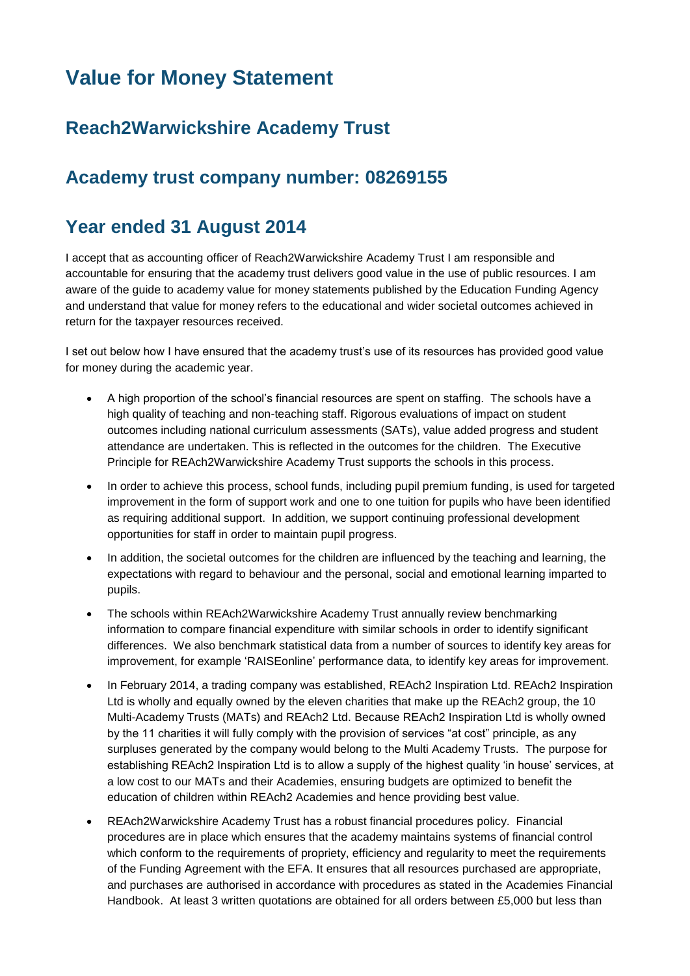# **Value for Money Statement**

## **Reach2Warwickshire Academy Trust**

### **Academy trust company number: 08269155**

#### **Year ended 31 August 2014**

I accept that as accounting officer of Reach2Warwickshire Academy Trust I am responsible and accountable for ensuring that the academy trust delivers good value in the use of public resources. I am aware of the guide to academy value for money statements published by the Education Funding Agency and understand that value for money refers to the educational and wider societal outcomes achieved in return for the taxpayer resources received.

I set out below how I have ensured that the academy trust's use of its resources has provided good value for money during the academic year.

- A high proportion of the school's financial resources are spent on staffing. The schools have a high quality of teaching and non-teaching staff. Rigorous evaluations of impact on student outcomes including national curriculum assessments (SATs), value added progress and student attendance are undertaken. This is reflected in the outcomes for the children. The Executive Principle for REAch2Warwickshire Academy Trust supports the schools in this process.
- In order to achieve this process, school funds, including pupil premium funding, is used for targeted improvement in the form of support work and one to one tuition for pupils who have been identified as requiring additional support. In addition, we support continuing professional development opportunities for staff in order to maintain pupil progress.
- In addition, the societal outcomes for the children are influenced by the teaching and learning, the expectations with regard to behaviour and the personal, social and emotional learning imparted to pupils.
- The schools within REAch2Warwickshire Academy Trust annually review benchmarking information to compare financial expenditure with similar schools in order to identify significant differences. We also benchmark statistical data from a number of sources to identify key areas for improvement, for example 'RAISEonline' performance data, to identify key areas for improvement.
- In February 2014, a trading company was established, REAch2 Inspiration Ltd. REAch2 Inspiration Ltd is wholly and equally owned by the eleven charities that make up the REAch2 group, the 10 Multi-Academy Trusts (MATs) and REAch2 Ltd. Because REAch2 Inspiration Ltd is wholly owned by the 11 charities it will fully comply with the provision of services "at cost" principle, as any surpluses generated by the company would belong to the Multi Academy Trusts. The purpose for establishing REAch2 Inspiration Ltd is to allow a supply of the highest quality 'in house' services, at a low cost to our MATs and their Academies, ensuring budgets are optimized to benefit the education of children within REAch2 Academies and hence providing best value.
- REAch2Warwickshire Academy Trust has a robust financial procedures policy. Financial procedures are in place which ensures that the academy maintains systems of financial control which conform to the requirements of propriety, efficiency and regularity to meet the requirements of the Funding Agreement with the EFA. It ensures that all resources purchased are appropriate, and purchases are authorised in accordance with procedures as stated in the Academies Financial Handbook. At least 3 written quotations are obtained for all orders between £5,000 but less than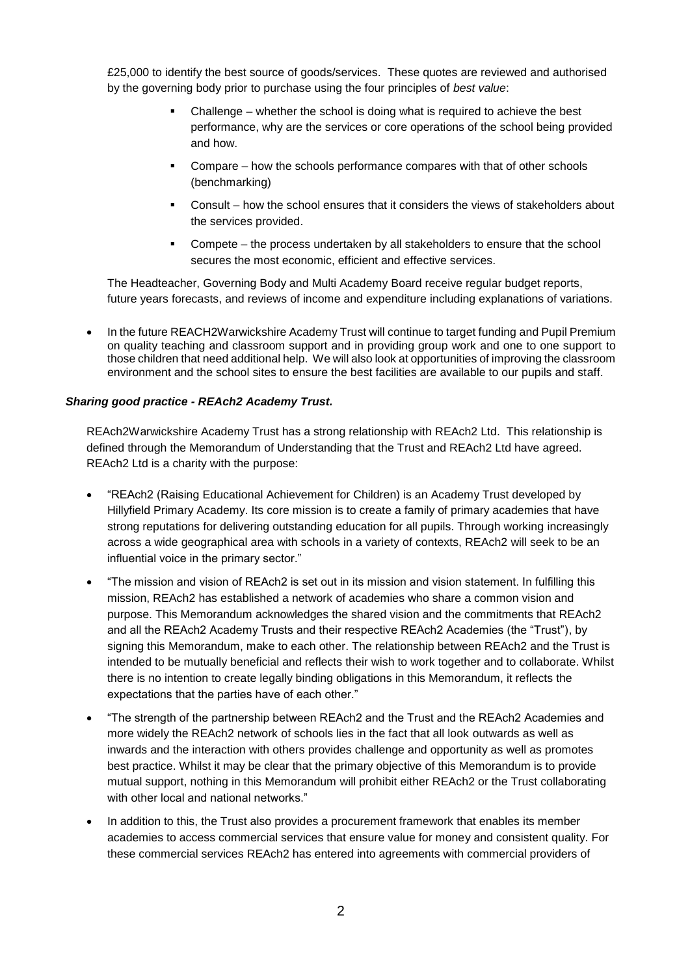£25,000 to identify the best source of goods/services. These quotes are reviewed and authorised by the governing body prior to purchase using the four principles of *best value*:

- Challenge whether the school is doing what is required to achieve the best performance, why are the services or core operations of the school being provided and how.
- Compare how the schools performance compares with that of other schools (benchmarking)
- Consult how the school ensures that it considers the views of stakeholders about the services provided.
- Compete the process undertaken by all stakeholders to ensure that the school secures the most economic, efficient and effective services.

The Headteacher, Governing Body and Multi Academy Board receive regular budget reports, future years forecasts, and reviews of income and expenditure including explanations of variations.

• In the future REACH2Warwickshire Academy Trust will continue to target funding and Pupil Premium on quality teaching and classroom support and in providing group work and one to one support to those children that need additional help. We will also look at opportunities of improving the classroom environment and the school sites to ensure the best facilities are available to our pupils and staff.

#### *Sharing good practice - REAch2 Academy Trust.*

REAch2Warwickshire Academy Trust has a strong relationship with REAch2 Ltd. This relationship is defined through the Memorandum of Understanding that the Trust and REAch2 Ltd have agreed. REAch2 Ltd is a charity with the purpose:

- "REAch2 (Raising Educational Achievement for Children) is an Academy Trust developed by Hillyfield Primary Academy. Its core mission is to create a family of primary academies that have strong reputations for delivering outstanding education for all pupils. Through working increasingly across a wide geographical area with schools in a variety of contexts, REAch2 will seek to be an influential voice in the primary sector."
- "The mission and vision of REAch2 is set out in its mission and vision statement. In fulfilling this mission, REAch2 has established a network of academies who share a common vision and purpose. This Memorandum acknowledges the shared vision and the commitments that REAch2 and all the REAch2 Academy Trusts and their respective REAch2 Academies (the "Trust"), by signing this Memorandum, make to each other. The relationship between REAch2 and the Trust is intended to be mutually beneficial and reflects their wish to work together and to collaborate. Whilst there is no intention to create legally binding obligations in this Memorandum, it reflects the expectations that the parties have of each other."
- "The strength of the partnership between REAch2 and the Trust and the REAch2 Academies and more widely the REAch2 network of schools lies in the fact that all look outwards as well as inwards and the interaction with others provides challenge and opportunity as well as promotes best practice. Whilst it may be clear that the primary objective of this Memorandum is to provide mutual support, nothing in this Memorandum will prohibit either REAch2 or the Trust collaborating with other local and national networks."
- In addition to this, the Trust also provides a procurement framework that enables its member academies to access commercial services that ensure value for money and consistent quality. For these commercial services REAch2 has entered into agreements with commercial providers of